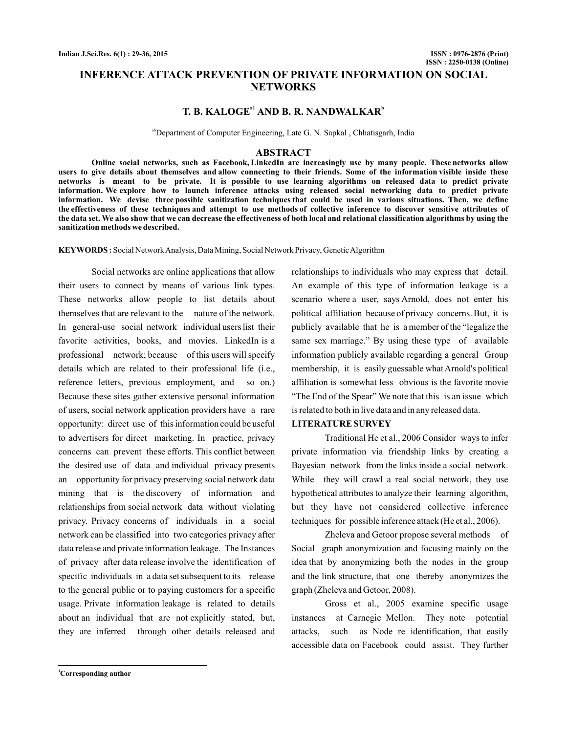# **INFERENCE ATTACK PREVENTION OF PRIVATE INFORMATION ON SOCIAL NETWORKS**

# $T$ . B. KALOGE<sup>a1</sup> AND B. R. NANDWALKAR<sup>b</sup>

<sup>ab</sup>Department of Computer Engineering, Late G. N. Sapkal, Chhatisgarh, India

#### **ABSTRACT**

**Online social networks, such as Facebook, LinkedIn are increasingly use by many people. These networks allow users to give details about themselves and allow connecting to their friends. Some of the information visible inside these networks is meant to be private. It is possible to use learning algorithms on released data to predict private information. We explore how to launch inference attacks using released social networking data to predict private information. We devise three possible sanitization techniques that could be used in various situations. Then, we define the effectiveness of these techniques and attempt to use methods of collective inference to discover sensitive attributes of the data set. We also show that we can decrease the effectiveness of both local and relational classification algorithms by using the sanitization methods we described.**

**KEYWORDS :** Social Network Analysis, Data Mining, Social Network Privacy, Genetic Algorithm

Social networks are online applications that allow their users to connect by means of various link types. These networks allow people to list details about themselves that are relevant to the nature of the network. In general-use social network individual users list their favorite activities, books, and movies. LinkedIn is a professional network; because of this users will specify details which are related to their professional life (i.e., reference letters, previous employment, and so on.) Because these sites gather extensive personal information of users, social network application providers have a rare opportunity: direct use of this information could be useful to advertisers for direct marketing. In practice, privacy concerns can prevent these efforts. This conflict between the desired use of data and individual privacy presents an opportunity for privacy preserving social network data mining that is the discovery of information and relationships from social network data without violating privacy. Privacy concerns of individuals in a social network can be classified into two categories privacy after data release and private information leakage. The Instances of privacy after data release involve the identification of specific individuals in a data set subsequent to its release to the general public or to paying customers for a specific usage. Private information leakage is related to details about an individual that are not explicitly stated, but, they are inferred through other details released and

relationships to individuals who may express that detail. An example of this type of information leakage is a scenario where a user, says Arnold, does not enter his political affiliation because of privacy concerns. But, it is publicly available that he is a member of the "legalize the same sex marriage." By using these type of available information publicly available regarding a general Group membership, it is easily guessable what Arnold's political affiliation is somewhat less obvious is the favorite movie "The End of the Spear" We note that this is an issue which is related to both in live data and in any released data.

#### **LITERATURE SURVEY**

Traditional He et al., 2006 Consider ways to infer private information via friendship links by creating a Bayesian network from the links inside a social network. While they will crawl a real social network, they use hypothetical attributes to analyze their learning algorithm, but they have not considered collective inference techniques for possible inference attack (He et al., 2006).

Zheleva and Getoor propose several methods of Social graph anonymization and focusing mainly on the idea that by anonymizing both the nodes in the group and the link structure, that one thereby anonymizes the graph (Zheleva and Getoor, 2008).

Gross et al., 2005 examine specific usage instances at Carnegie Mellon. They note potential attacks, such as Node re identification, that easily accessible data on Facebook could assist. They further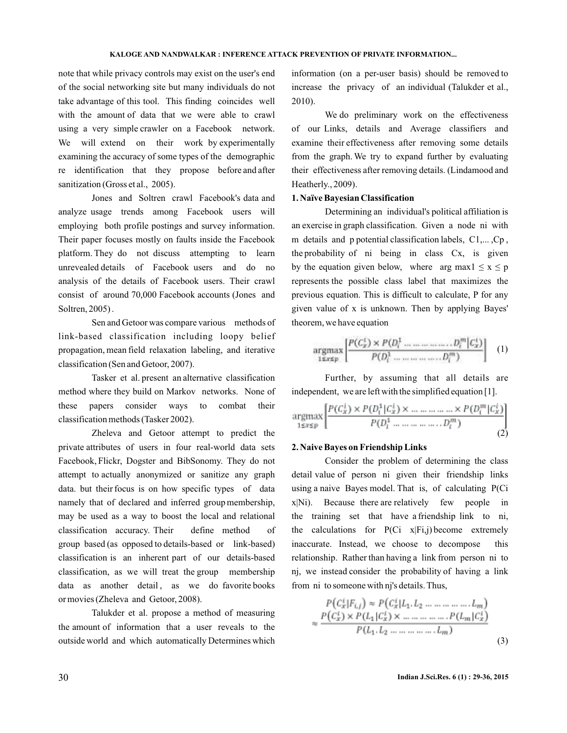note that while privacy controls may exist on the user's end of the social networking site but many individuals do not take advantage of this tool. This finding coincides well with the amount of data that we were able to crawl using a very simple crawler on a Facebook network. We will extend on their work by experimentally examining the accuracy of some types of the demographic re identification that they propose before and after sanitization (Gross et al., 2005).

Jones and Soltren crawl Facebook's data and analyze usage trends among Facebook users will employing both profile postings and survey information. Their paper focuses mostly on faults inside the Facebook platform. They do not discuss attempting to learn unrevealed details of Facebook users and do no analysis of the details of Facebook users. Their crawl consist of around 70,000 Facebook accounts (Jones and Soltren, 2005) .

Sen and Getoor was compare various methods of link-based classification including loopy belief propagation, mean field relaxation labeling, and iterative classification (Sen and Getoor, 2007).

Tasker et al. present an alternative classification method where they build on Markov networks. None of these papers consider ways to combat their classification methods (Tasker 2002).

Zheleva and Getoor attempt to predict the private attributes of users in four real-world data sets Facebook, Flickr, Dogster and BibSonomy. They do not attempt to actually anonymized or sanitize any graph data. but their focus is on how specific types of data namely that of declared and inferred group membership, may be used as a way to boost the local and relational classification accuracy. Their define method of group based (as opposed to details-based or link-based) classification is an inherent part of our details-based classification, as we will treat the group membership data as another detail, as we do favorite books or movies (Zheleva and Getoor, 2008).

Talukder et al. propose a method of measuring the amount of information that a user reveals to the outside world and which automatically Determines which information (on a per-user basis) should be removed to increase the privacy of an individual (Talukder et al., 2010).

We do preliminary work on the effectiveness of our Links, details and Average classifiers and examine their effectiveness after removing some details from the graph. We try to expand further by evaluating their effectiveness after removing details. (Lindamood and Heatherly., 2009).

## **1. Naïve Bayesian Classification**

Determining an individual's political affiliation is an exercise in graph classification. Given a node ni with m details and p potential classification labels, C1,..., Cp, the probability of ni being in class Cx, is given by the equation given below, where arg max $1 \le x \le p$ represents the possible class label that maximizes the previous equation. This is difficult to calculate, P for any given value of x is unknown. Then by applying Bayes' theorem, we have equation

$$
\underset{1 \le x \le p}{\operatorname{argmax}} \left[ \frac{P(C_x^1) \times P(D_i^1 \dots \dots \dots \dots \dots D_i^m | C_x^1)}{P(D_i^1 \dots \dots \dots \dots D_i^m)} \right] \tag{1}
$$

Further, by assuming that all details are independent, we are left with the simplified equation [1].

$$
\underset{1 \le x \le p}{\text{argmax}} \left[ \frac{P(C_x^i) \times P(D_i^1 | C_x^i) \times \dots \dots \dots \dots \times P(D_i^m | C_x^i)}{P(D_1^1 \dots \dots \dots \dots \dots D_i^m)} \right] \tag{2}
$$

#### **2. Naive Bayes on Friendship Links**

Consider the problem of determining the class detail value of person ni given their friendship links using a naive Bayes model. That is, of calculating P(Ci x|Ni). Because there are relatively few people in the training set that have a friendship link to ni, the calculations for  $P(Ci \times |Fi,j)$  become extremely inaccurate. Instead, we choose to decompose this relationship. Rather than having a link from person ni to nj, we instead consider the probability of having a link from ni to someone with nj's details. Thus,

$$
P(C_x^t|F_{i,j}) \approx P(C_x^t|L_1, L_2 \dots \dots \dots \dots \dots \dots L_m)
$$
  

$$
\approx \frac{P(C_x^t) \times P(L_1|C_x^t) \times \dots \dots \dots \dots \dots \dots P(L_m|C_x^t)}{P(L_1, L_2 \dots \dots \dots \dots \dots \dots \dots L_m)}
$$
 (3)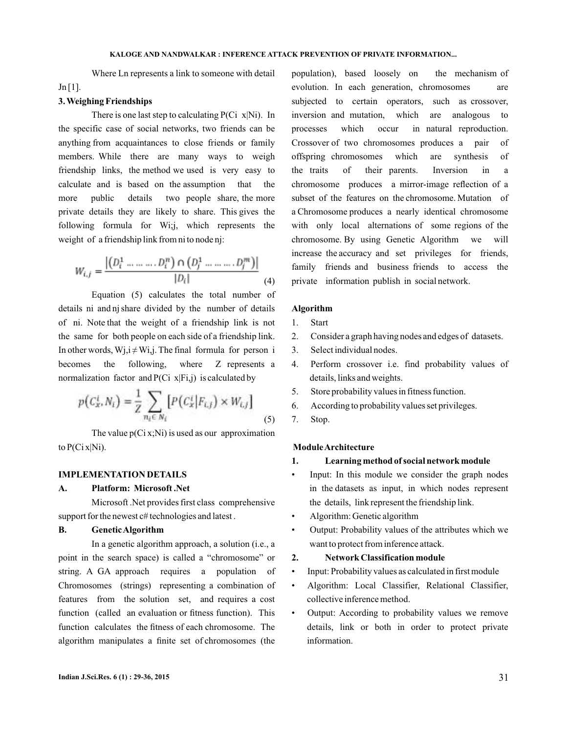Where Ln represents a link to someone with detail  $Jn[1]$ .

## **3. Weighing Friendships**

There is one last step to calculating  $P(Ci \times Ni)$ . In the specific case of social networks, two friends can be anything from acquaintances to close friends or family members. While there are many ways to weigh friendship links, the method we used is very easy to calculate and is based on the assumption that the more public details two people share, the more private details they are likely to share. This gives the following formula for Wi;j, which represents the weight of a friendship link from ni to node nj:

$$
W_{i,j} = \frac{|(D_i^1 \dots \dots \dots D_i^n) \cap (D_j^1 \dots \dots \dots D_j^m)|}{|D_i|} \tag{4}
$$

Equation (5) calculates the total number of details ni and nj share divided by the number of details of ni. Note that the weight of a friendship link is not the same for both people on each side of a friendship link. In other words,  $Wj, i \neq Wi, j$ . The final formula for person i becomes the following, where Z represents a normalization factor and  $P(Ci \times |Fi,j)$  is calculated by

$$
p(C_x^i, N_i) = \frac{1}{Z} \sum_{n_i \in N_i} [P(C_x^i | F_{i,j}) \times W_{i,j}]
$$
 (5)

The value  $p(Ci x; Ni)$  is used as our approximation to  $P(Cix|Ni)$ .

## **IMPLEMENTATION DETAILS**

## **A. Platform: Microsoft .Net**

Microsoft .Net provides first class comprehensive support for the newest  $c\#$  technologies and latest.

#### **B. GeneticAlgorithm**

In a genetic algorithm approach, a solution (i.e., a point in the search space) is called a "chromosome" or string. A GA approach requires a population of Chromosomes (strings) representing a combination of features from the solution set, and requires a cost function (called an evaluation or fitness function). This function calculates the fitness of each chromosome. The algorithm manipulates a finite set of chromosomes (the

population), based loosely on the mechanism of evolution. In each generation, chromosomes are subjected to certain operators, such as crossover, inversion and mutation, which are analogous to processes which occur in natural reproduction. Crossover of two chromosomes produces a pair of offspring chromosomes which are synthesis of the traits of their parents. Inversion in a chromosome produces a mirror-image reflection of a subset of the features on the chromosome. Mutation of a Chromosome produces a nearly identical chromosome with only local alternations of some regions of the chromosome. By using Genetic Algorithm we will increase the accuracy and set privileges for friends, family friends and business friends to access the private information publish in social network.

## **Algorithm**

### 1. Start

- 2. Consider a graph having nodes and edges of datasets.
- 3. Select individual nodes.
- 4. Perform crossover i.e. find probability values of details, links and weights.
- 5. Store probability values in fitness function.
- 6. According to probability values set privileges.
- 7. Stop.

#### **ModuleArchitecture**

#### **1. Learning method of social network module**

- Input: In this module we consider the graph nodes in the datasets as input, in which nodes represent the details, link represent the friendship link.
- Algorithm: Genetic algorithm
- Output: Probability values of the attributes which we want to protect from inference attack.

#### **2. Network Classification module**

- Input: Probability values as calculated in first module
- Algorithm: Local Classifier, Relational Classifier, collective inference method.
- Output: According to probability values we remove details, link or both in order to protect private information.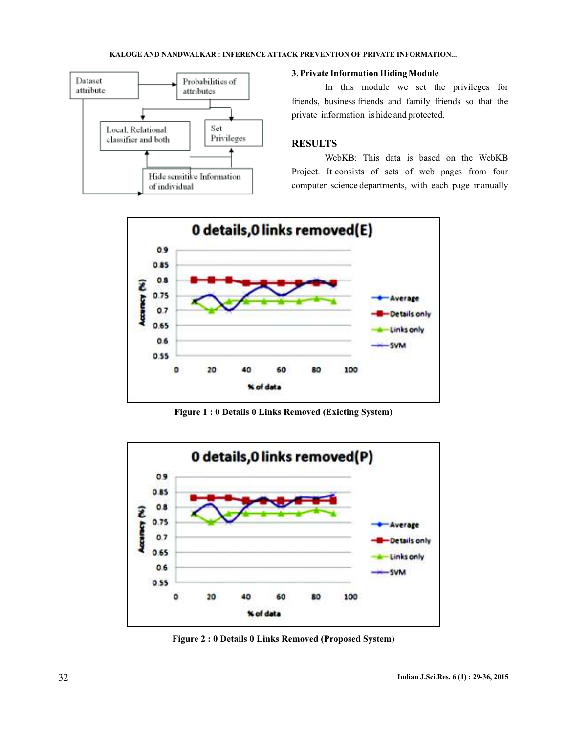

## **3. Private Information Hiding Module**

In this module we set the privileges for friends, business friends and family friends so that the private information is hide and protected.

# **RESULTS**

WebKB: This data is based on the WebKB Project. It consists of sets of web pages from four computer science departments, with each page manually



**Figure 1 : 0 Details 0 Links Removed (Exicting System)**



**Figure 2 : 0 Details 0 Links Removed (Proposed System)**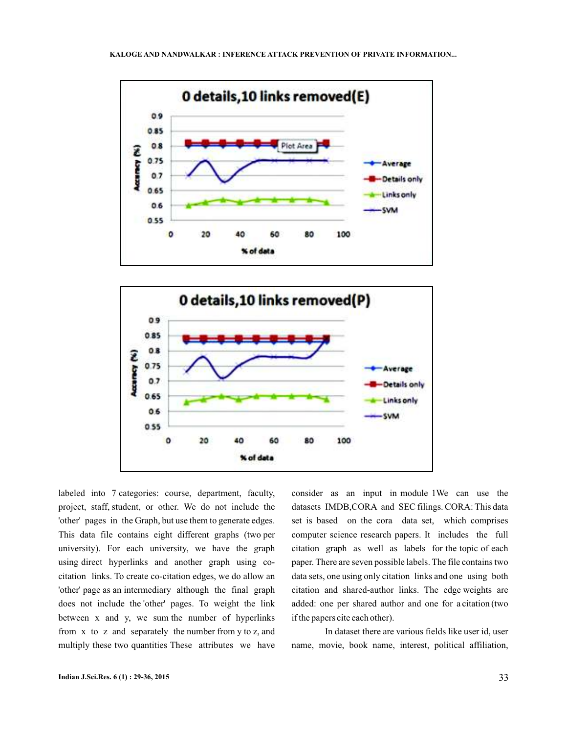



labeled into 7 categories: course, department, faculty, project, staff, student, or other. We do not include the 'other' pages in the Graph, but use them to generate edges. This data file contains eight different graphs (two per university). For each university, we have the graph using direct hyperlinks and another graph using cocitation links. To create co-citation edges, we do allow an 'other' page as an intermediary although the final graph does not include the 'other' pages. To weight the link between x and y, we sum the number of hyperlinks from x to z and separately the number from y to z, and multiply these two quantities These attributes we have

consider as an input in module 1We can use the datasets IMDB,CORA and SEC filings. CORA: This data set is based on the cora data set, which comprises computer science research papers. It includes the full citation graph as well as labels for the topic of each paper. There are seven possible labels. The file contains two data sets, one using only citation links and one using both citation and shared-author links. The edge weights are added: one per shared author and one for a citation (two if the papers cite each other).

In dataset there are various fields like user id, user name, movie, book name, interest, political affiliation,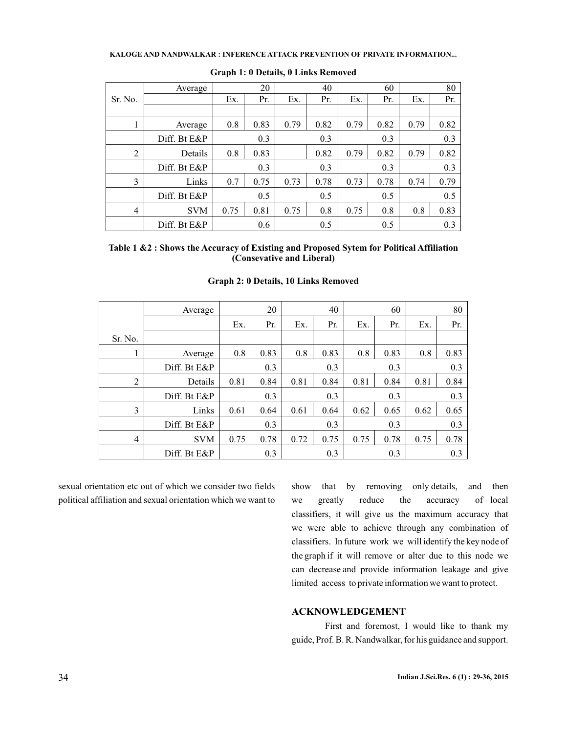|                | Average      |      | 20   |      | 40   |      | 60   |      | 80   |
|----------------|--------------|------|------|------|------|------|------|------|------|
| Sr. No.        |              | Ex.  | Pr.  | Ex.  | Pr.  | Ex.  | Pr.  | Ex.  | Pr.  |
|                |              |      |      |      |      |      |      |      |      |
| 1              | Average      | 0.8  | 0.83 | 0.79 | 0.82 | 0.79 | 0.82 | 0.79 | 0.82 |
|                | Diff. Bt E&P |      | 0.3  |      | 0.3  |      | 0.3  |      | 0.3  |
| 2              | Details      | 0.8  | 0.83 |      | 0.82 | 0.79 | 0.82 | 0.79 | 0.82 |
|                | Diff. Bt E&P |      | 0.3  |      | 0.3  |      | 0.3  |      | 0.3  |
| 3              | Links        | 0.7  | 0.75 | 0.73 | 0.78 | 0.73 | 0.78 | 0.74 | 0.79 |
|                | Diff. Bt E&P |      | 0.5  |      | 0.5  |      | 0.5  |      | 0.5  |
| $\overline{4}$ | <b>SVM</b>   | 0.75 | 0.81 | 0.75 | 0.8  | 0.75 | 0.8  | 0.8  | 0.83 |
|                | Diff. Bt E&P |      | 0.6  |      | 0.5  |      | 0.5  |      | 0.3  |

#### **Graph 1: 0 Details, 0 Links Removed**

**Table 1 &2 : Shows the Accuracy of Existing and Proposed Sytem for Political Affiliation (Consevative and Liberal)**

|                | Average      | 20   |      | 40   |      | 60   |      | 80   |      |
|----------------|--------------|------|------|------|------|------|------|------|------|
|                |              | Ex.  | Pr.  | Ex.  | Pr.  | Ex.  | Pr.  | Ex.  | Pr.  |
| Sr. No.        |              |      |      |      |      |      |      |      |      |
|                | Average      | 0.8  | 0.83 | 0.8  | 0.83 | 0.8  | 0.83 | 0.8  | 0.83 |
|                | Diff. Bt E&P |      | 0.3  |      | 0.3  |      | 0.3  |      | 0.3  |
| $\overline{2}$ | Details      | 0.81 | 0.84 | 0.81 | 0.84 | 0.81 | 0.84 | 0.81 | 0.84 |
|                | Diff. Bt E&P | 0.3  |      | 0.3  |      | 0.3  |      | 0.3  |      |
| 3              | Links        | 0.61 | 0.64 | 0.61 | 0.64 | 0.62 | 0.65 | 0.62 | 0.65 |
|                | Diff. Bt E&P | 0.3  |      | 0.3  |      | 0.3  |      | 0.3  |      |
| $\overline{4}$ | <b>SVM</b>   | 0.75 | 0.78 | 0.72 | 0.75 | 0.75 | 0.78 | 0.75 | 0.78 |
|                | Diff. Bt E&P |      | 0.3  |      | 0.3  |      | 0.3  |      | 0.3  |

## **Graph 2: 0 Details, 10 Links Removed**

sexual orientation etc out of which we consider two fields political affiliation and sexual orientation which we want to show that by removing only details, and then we greatly reduce the accuracy of local classifiers, it will give us the maximum accuracy that we were able to achieve through any combination of classifiers. In future work we will identify the key node of the graph if it will remove or alter due to this node we can decrease and provide information leakage and give limited access to private information we want to protect.

## **ACKNOWLEDGEMENT**

First and foremost, I would like to thank my guide, Prof. B. R. Nandwalkar, for his guidance and support.